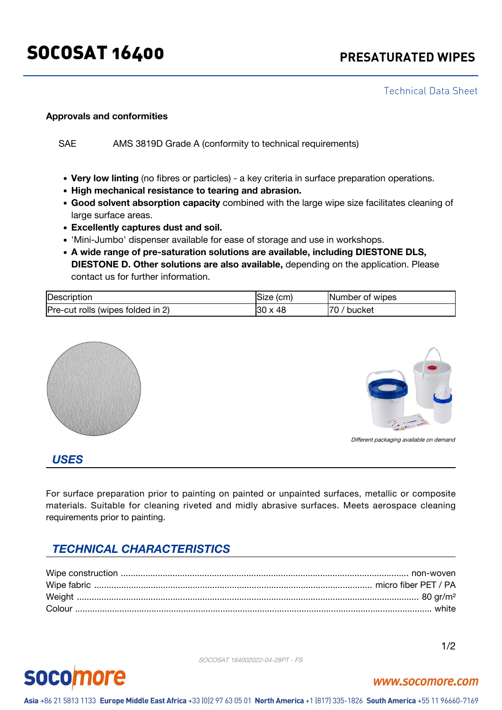# SOCOSAT 16400 **PRESATURATED WIPES**

Technical Data Sheet

#### **Approvals and conformities**

SAE AMS 3819D Grade A (conformity to technical requirements)

- **Very low linting** (no fibres or particles) a key criteria in surface preparation operations.
- **High mechanical resistance to tearing and abrasion.**
- **Good solvent absorption capacity** combined with the large wipe size facilitates cleaning of large surface areas.
- **Excellently captures dust and soil.**
- 'Mini-Jumbo' dispenser available for ease of storage and use in workshops.
- **A wide range of pre-saturation solutions are available, including DIESTONE DLS, DIESTONE D. Other solutions are also available,** depending on the application. Please contact us for further information.

| Description                       | Size (cm)                  | INumber of wipes |
|-----------------------------------|----------------------------|------------------|
| Pre-cut rolls (wipes folded in 2) | -48<br>130<br>$\checkmark$ | 70<br>bucket     |





Different packaging available on demand

#### *USES*

For surface preparation prior to painting on painted or unpainted surfaces, metallic or composite materials. Suitable for cleaning riveted and midly abrasive surfaces. Meets aerospace cleaning requirements prior to painting.

# *TECHNICAL CHARACTERISTICS*

SOCOSAT 164002022-04-28PT - FS

#### **SOCO** ore

# www.socomore.com

Asia +86 21 5813 1133 Europe Middle East Africa +33 (0)2 97 63 05 01 North America +1 (817) 335-1826 South America +55 11 96660-7169